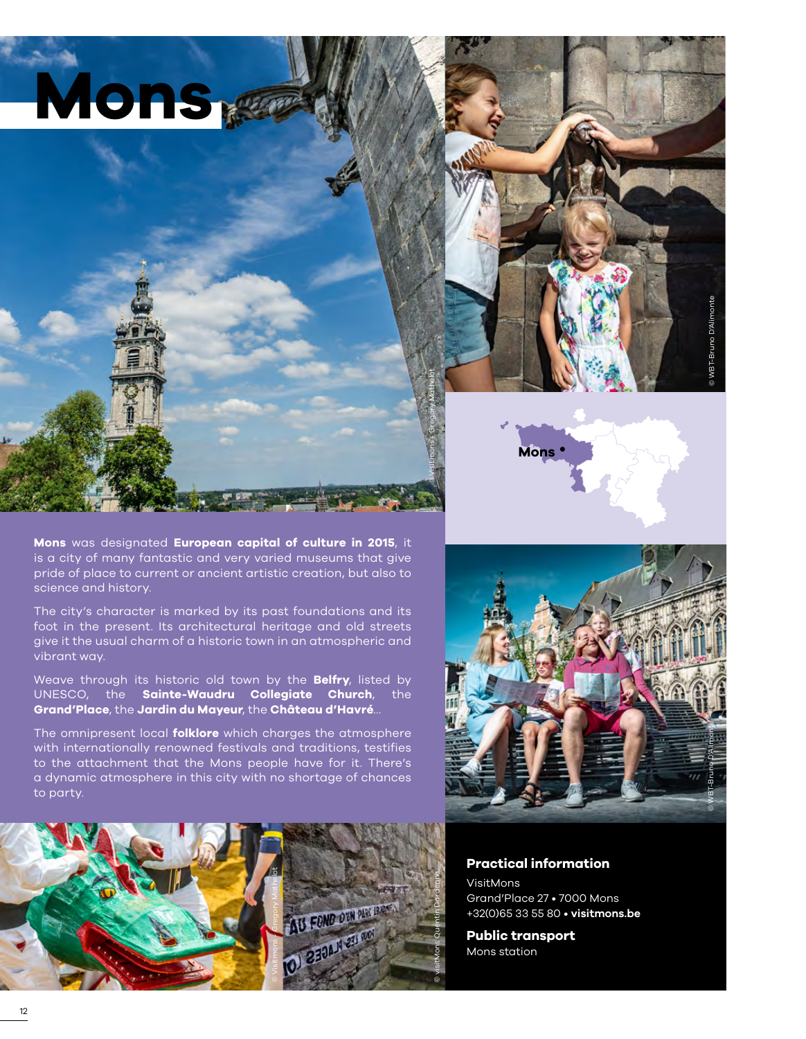

**Mons**

© WBT-Bruno D'Alimonte

**Mons** was designated **European capital of culture in 2015**, it is a city of many fantastic and very varied museums that give pride of place to current or ancient artistic creation, but also to science and history.

The city's character is marked by its past foundations and its foot in the present. Its architectural heritage and old streets give it the usual charm of a historic town in an atmospheric and vibrant way.

Weave through its historic old town by the **Belfry**, listed by UNESCO, the **Sainte-Waudru Collegiate Church**, the **Grand'Place**, the **Jardin du Mayeur**, the **Château d'Havré**…

The omnipresent local **folklore** which charges the atmosphere with internationally renowned festivals and traditions, testifies to the attachment that the Mons people have for it. There's a dynamic atmosphere in this city with no shortage of chances to party.





### **Practical information**

VisitMons Grand'Place 27 • 7000 Mons +32(0)65 33 55 80 • **[visitmons.be](https://www.visitmons.be/)**

**Public transport**  Mons station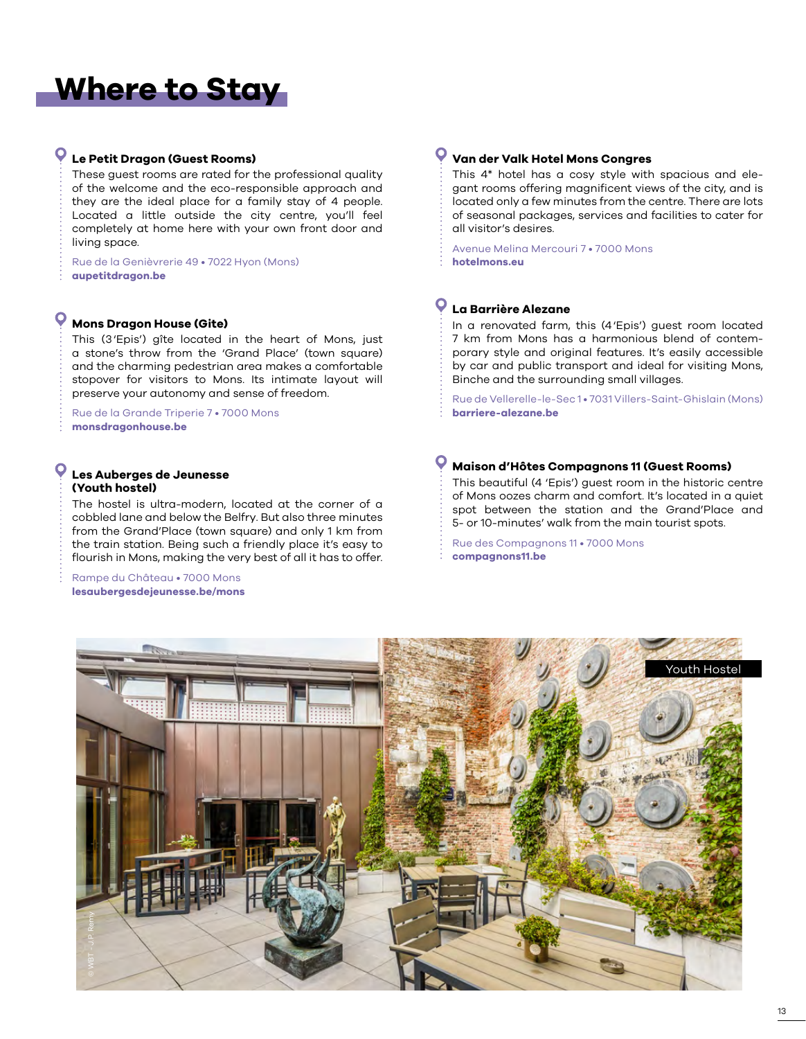# **Where to Stay**

### **Le Petit Dragon (Guest Rooms)**

These guest rooms are rated for the professional quality of the welcome and the eco-responsible approach and they are the ideal place for a family stay of 4 people. Located a little outside the city centre, you'll feel completely at home here with your own front door and living space.

Rue de la Genièvrerie 49 • 7022 Hyon (Mons) **[aupetitdragon.be](www.aupetitdragon.be)**

### **Mons Dragon House (Gite)**

This (3'Epis') gîte located in the heart of Mons, just a stone's throw from the 'Grand Place' (town square) and the charming pedestrian area makes a comfortable stopover for visitors to Mons. Its intimate layout will preserve your autonomy and sense of freedom.

Rue de la Grande Triperie 7 • 7000 Mons **[monsdragonhouse.be](www.monsdragonhouse.be)**

### **Les Auberges de Jeunesse (Youth hostel)**

The hostel is ultra-modern, located at the corner of a cobbled lane and below the Belfry. But also three minutes from the Grand'Place (town square) and only 1 km from the train station. Being such a friendly place it's easy to flourish in Mons, making the very best of all it has to offer.

Rampe du Château • 7000 Mons **[lesaubergesdejeunesse.be/mons](www.lesaubergesdejeunesse.be/mons)**

#### $\bullet$ **Van der Valk Hotel Mons Congres**

This 4\* hotel has a cosy style with spacious and elegant rooms offering magnificent views of the city, and is located only a few minutes from the centre. There are lots of seasonal packages, services and facilities to cater for all visitor's desires.

Avenue Melina Mercouri 7 • 7000 Mons **[hotelmons.eu](www.hotelmons.eu)**

### **La Barrière Alezane**

In a renovated farm, this (4'Epis') guest room located 7 km from Mons has a harmonious blend of contemporary style and original features. It's easily accessible by car and public transport and ideal for visiting Mons, Binche and the surrounding small villages.

Rue de Vellerelle-le-Sec 1 • 7031 Villers-Saint-Ghislain (Mons) **[barriere-alezane.be](http://www.barriere-alezane.be/)**

### **Maison d'Hôtes Compagnons 11 (Guest Rooms)**

This beautiful (4 'Epis') guest room in the historic centre of Mons oozes charm and comfort. It's located in a quiet spot between the station and the Grand'Place and 5- or 10-minutes' walk from the main tourist spots.

Rue des Compagnons 11 • 7000 Mons **[compagnons11.be](http://www.compagnons11.be/fr/)**

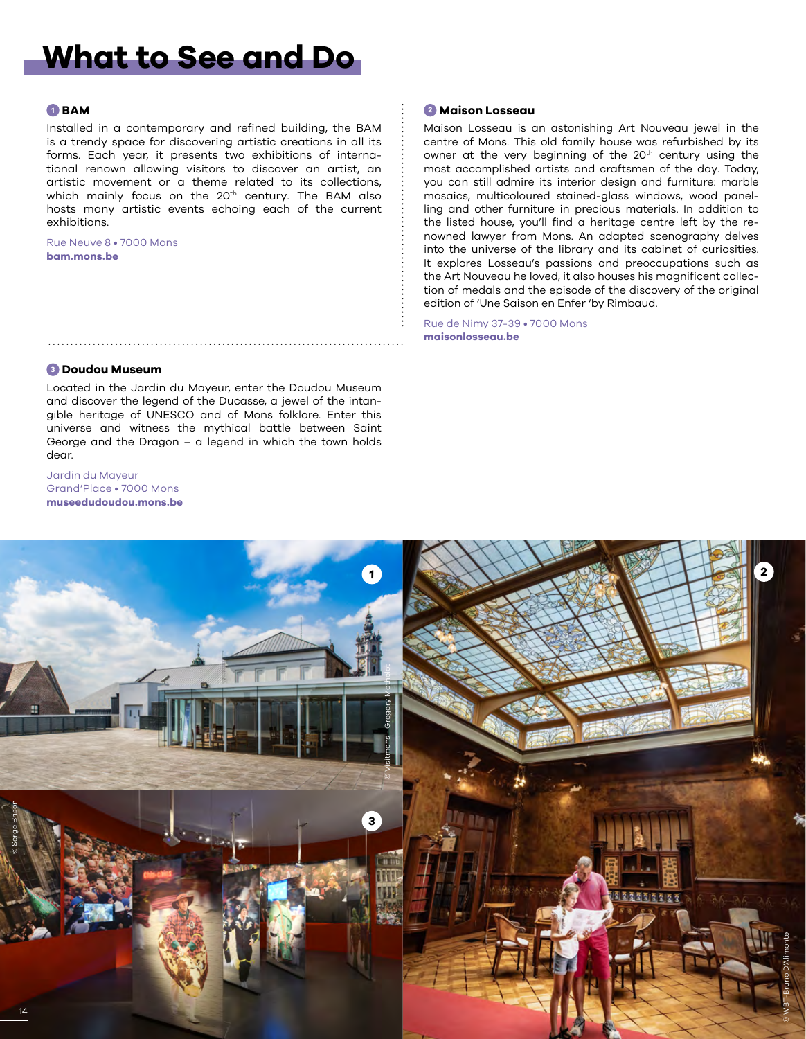## **What to See and Do**

### **<sup>1</sup> BAM**

Installed in a contemporary and refined building, the BAM is a trendy space for discovering artistic creations in all its forms. Each year, it presents two exhibitions of international renown allowing visitors to discover an artist, an artistic movement or a theme related to its collections, which mainly focus on the 20<sup>th</sup> century. The BAM also hosts many artistic events echoing each of the current exhibitions.

Rue Neuve 8 • 7000 Mons **[bam.mons.be](http://www.bam.mons.be/)**

### **<sup>2</sup> Maison Losseau**

Maison Losseau is an astonishing Art Nouveau jewel in the centre of Mons. This old family house was refurbished by its owner at the very beginning of the 20<sup>th</sup> century using the most accomplished artists and craftsmen of the day. Today, you can still admire its interior design and furniture: marble mosaics, multicoloured stained-glass windows, wood panelling and other furniture in precious materials. In addition to the listed house, you'll find a heritage centre left by the renowned lawyer from Mons. An adapted scenography delves into the universe of the library and its cabinet of curiosities. It explores Losseau's passions and preoccupations such as the Art Nouveau he loved, it also houses his magnificent collection of medals and the episode of the discovery of the original edition of 'Une Saison en Enfer 'by Rimbaud.

Rue de Nimy 37-39 • 7000 Mons **[maisonlosseau.be](https://www.maisonlosseau.be/)**

### **<sup>3</sup> Doudou Museum**

Located in the Jardin du Mayeur, enter the Doudou Museum and discover the legend of the Ducasse, a jewel of the intangible heritage of UNESCO and of Mons folklore. Enter this universe and witness the mythical battle between Saint George and the Dragon – a legend in which the town holds dear.

Jardin du Mayeur Grand'Place • 7000 Mons **[museedudoudou.mons.be](http://www.museedudoudou.mons.be/)**